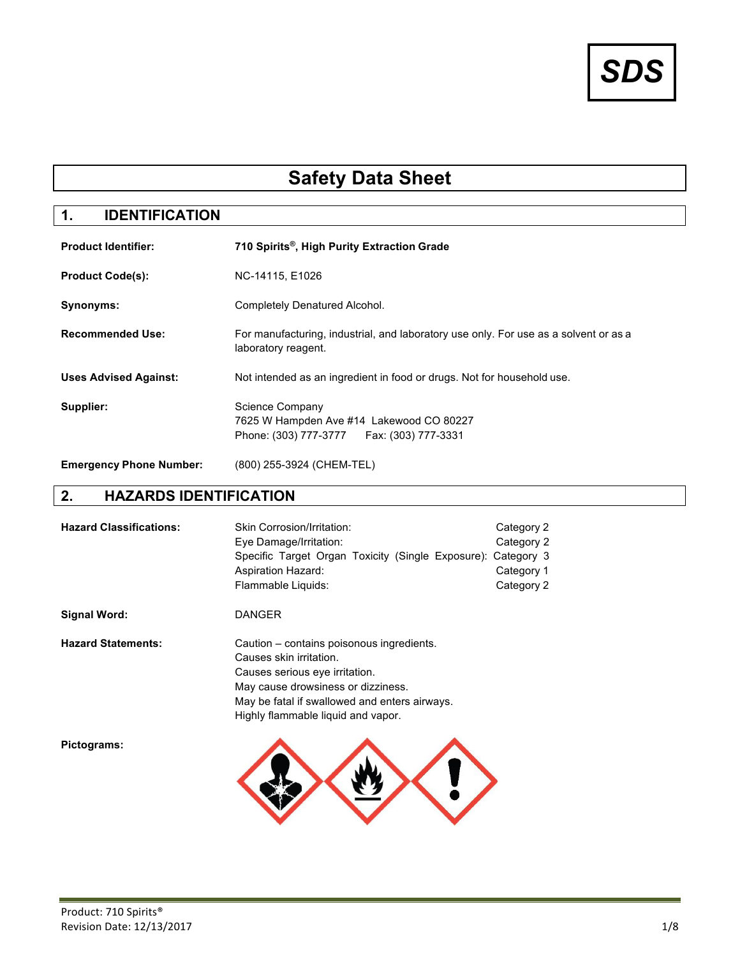# *SDS*

## **Safety Data Sheet**

### **1. IDENTIFICATION**

| <b>Product Identifier:</b>     | 710 Spirits <sup>®</sup> , High Purity Extraction Grade                                                     |
|--------------------------------|-------------------------------------------------------------------------------------------------------------|
| <b>Product Code(s):</b>        | NC-14115, E1026                                                                                             |
| Synonyms:                      | Completely Denatured Alcohol.                                                                               |
| <b>Recommended Use:</b>        | For manufacturing, industrial, and laboratory use only. For use as a solvent or as a<br>laboratory reagent. |
| <b>Uses Advised Against:</b>   | Not intended as an ingredient in food or drugs. Not for household use.                                      |
| Supplier:                      | Science Company<br>7625 W Hampden Ave #14 Lakewood CO 80227<br>Phone: (303) 777-3777    Fax: (303) 777-3331 |
| <b>Emergency Phone Number:</b> | (800) 255-3924 (CHEM-TEL)                                                                                   |

#### **2. HAZARDS IDENTIFICATION**

| <b>Hazard Classifications:</b> | Skin Corrosion/Irritation:<br>Eye Damage/Irritation:<br>Specific Target Organ Toxicity (Single Exposure): Category 3<br><b>Aspiration Hazard:</b><br>Flammable Liquids:                                                             | Category 2<br>Category 2<br>Category 1<br>Category 2 |
|--------------------------------|-------------------------------------------------------------------------------------------------------------------------------------------------------------------------------------------------------------------------------------|------------------------------------------------------|
| Signal Word:                   | <b>DANGER</b>                                                                                                                                                                                                                       |                                                      |
| <b>Hazard Statements:</b>      | Caution – contains poisonous ingredients.<br>Causes skin irritation.<br>Causes serious eye irritation.<br>May cause drowsiness or dizziness.<br>May be fatal if swallowed and enters airways.<br>Highly flammable liquid and vapor. |                                                      |
| Pictograms:                    |                                                                                                                                                                                                                                     |                                                      |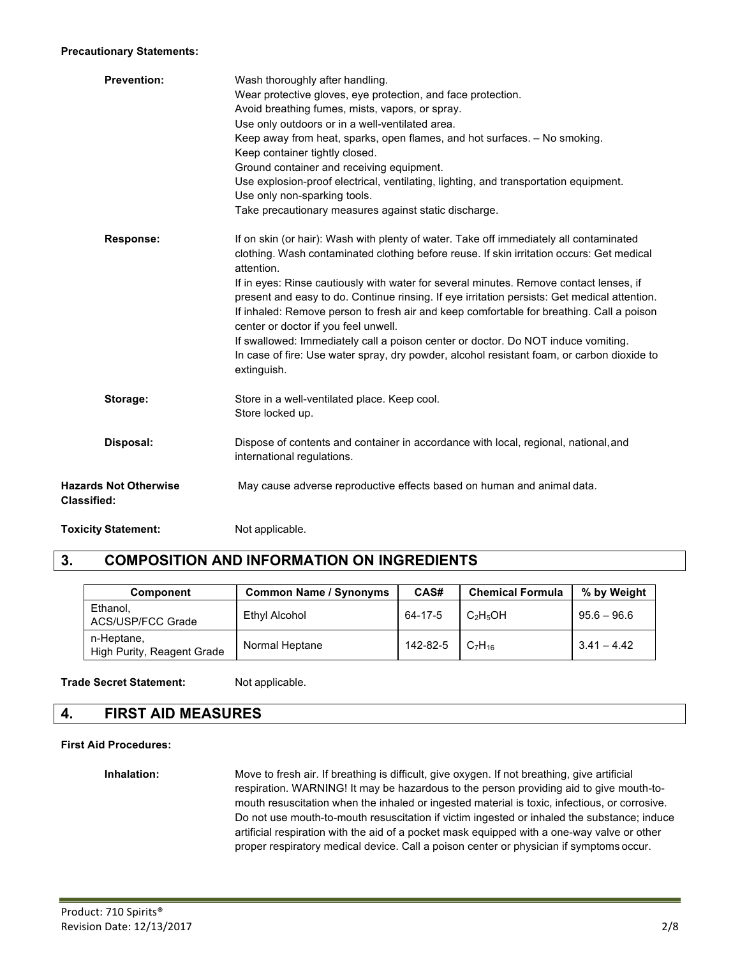#### **Precautionary Statements:**

| <b>Prevention:</b>                                 | Wash thoroughly after handling.<br>Wear protective gloves, eye protection, and face protection.<br>Avoid breathing fumes, mists, vapors, or spray.<br>Use only outdoors or in a well-ventilated area.<br>Keep away from heat, sparks, open flames, and hot surfaces. - No smoking.<br>Keep container tightly closed.<br>Ground container and receiving equipment.<br>Use explosion-proof electrical, ventilating, lighting, and transportation equipment.<br>Use only non-sparking tools.<br>Take precautionary measures against static discharge.                                                                                                                                                                                |
|----------------------------------------------------|-----------------------------------------------------------------------------------------------------------------------------------------------------------------------------------------------------------------------------------------------------------------------------------------------------------------------------------------------------------------------------------------------------------------------------------------------------------------------------------------------------------------------------------------------------------------------------------------------------------------------------------------------------------------------------------------------------------------------------------|
| Response:                                          | If on skin (or hair): Wash with plenty of water. Take off immediately all contaminated<br>clothing. Wash contaminated clothing before reuse. If skin irritation occurs: Get medical<br>attention.<br>If in eyes: Rinse cautiously with water for several minutes. Remove contact lenses, if<br>present and easy to do. Continue rinsing. If eye irritation persists: Get medical attention.<br>If inhaled: Remove person to fresh air and keep comfortable for breathing. Call a poison<br>center or doctor if you feel unwell.<br>If swallowed: Immediately call a poison center or doctor. Do NOT induce vomiting.<br>In case of fire: Use water spray, dry powder, alcohol resistant foam, or carbon dioxide to<br>extinguish. |
| Storage:                                           | Store in a well-ventilated place. Keep cool.<br>Store locked up.                                                                                                                                                                                                                                                                                                                                                                                                                                                                                                                                                                                                                                                                  |
| Disposal:                                          | Dispose of contents and container in accordance with local, regional, national, and<br>international regulations.                                                                                                                                                                                                                                                                                                                                                                                                                                                                                                                                                                                                                 |
| <b>Hazards Not Otherwise</b><br><b>Classified:</b> | May cause adverse reproductive effects based on human and animal data.                                                                                                                                                                                                                                                                                                                                                                                                                                                                                                                                                                                                                                                            |
| <b>Toxicity Statement:</b>                         | Not applicable.                                                                                                                                                                                                                                                                                                                                                                                                                                                                                                                                                                                                                                                                                                                   |

#### **3. COMPOSITION AND INFORMATION ON INGREDIENTS**

| <b>Component</b>                         | <b>Common Name / Synonyms</b> | CAS#     | <b>Chemical Formula</b>        | % by Weight   |
|------------------------------------------|-------------------------------|----------|--------------------------------|---------------|
| Ethanol,<br>ACS/USP/FCC Grade            | Ethyl Alcohol                 | 64-17-5  | $C_2H_5OH$                     | $95.6 - 96.6$ |
| n-Heptane,<br>High Purity, Reagent Grade | Normal Heptane                | 142-82-5 | C <sub>7</sub> H <sub>16</sub> | $3.41 - 4.42$ |

#### **Trade Secret Statement:** Not applicable.

#### **4. FIRST AID MEASURES**

#### **First Aid Procedures:**

**Inhalation:** Move to fresh air. If breathing is difficult, give oxygen. If not breathing, give artificial respiration. WARNING! It may be hazardous to the person providing aid to give mouth-tomouth resuscitation when the inhaled or ingested material is toxic, infectious, or corrosive. Do not use mouth-to-mouth resuscitation if victim ingested or inhaled the substance; induce artificial respiration with the aid of a pocket mask equipped with a one-way valve or other proper respiratory medical device. Call a poison center or physician if symptoms occur.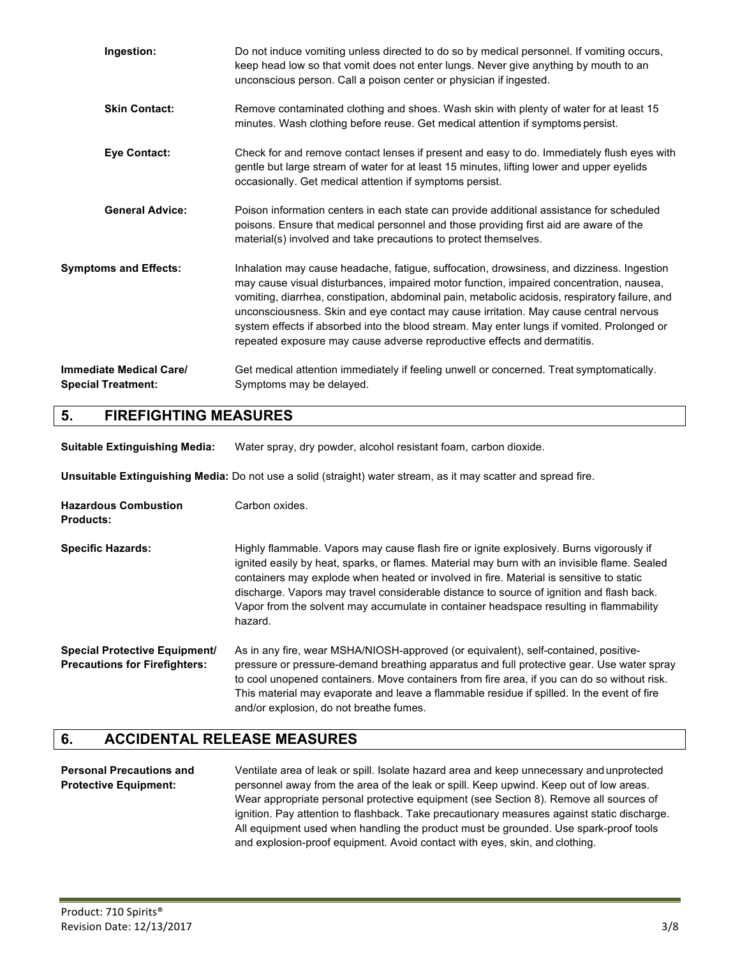| Ingestion:                                           | Do not induce vomiting unless directed to do so by medical personnel. If vomiting occurs,<br>keep head low so that vomit does not enter lungs. Never give anything by mouth to an<br>unconscious person. Call a poison center or physician if ingested.                                                                                                                                                                                                                                                                                                   |
|------------------------------------------------------|-----------------------------------------------------------------------------------------------------------------------------------------------------------------------------------------------------------------------------------------------------------------------------------------------------------------------------------------------------------------------------------------------------------------------------------------------------------------------------------------------------------------------------------------------------------|
| <b>Skin Contact:</b>                                 | Remove contaminated clothing and shoes. Wash skin with plenty of water for at least 15<br>minutes. Wash clothing before reuse. Get medical attention if symptoms persist.                                                                                                                                                                                                                                                                                                                                                                                 |
| <b>Eye Contact:</b>                                  | Check for and remove contact lenses if present and easy to do. Immediately flush eyes with<br>gentle but large stream of water for at least 15 minutes, lifting lower and upper eyelids<br>occasionally. Get medical attention if symptoms persist.                                                                                                                                                                                                                                                                                                       |
| <b>General Advice:</b>                               | Poison information centers in each state can provide additional assistance for scheduled<br>poisons. Ensure that medical personnel and those providing first aid are aware of the<br>material(s) involved and take precautions to protect themselves.                                                                                                                                                                                                                                                                                                     |
| <b>Symptoms and Effects:</b>                         | Inhalation may cause headache, fatigue, suffocation, drowsiness, and dizziness. Ingestion<br>may cause visual disturbances, impaired motor function, impaired concentration, nausea,<br>vomiting, diarrhea, constipation, abdominal pain, metabolic acidosis, respiratory failure, and<br>unconsciousness. Skin and eye contact may cause irritation. May cause central nervous<br>system effects if absorbed into the blood stream. May enter lungs if vomited. Prolonged or<br>repeated exposure may cause adverse reproductive effects and dermatitis. |
| Immediate Medical Care/<br><b>Special Treatment:</b> | Get medical attention immediately if feeling unwell or concerned. Treat symptomatically.<br>Symptoms may be delayed.                                                                                                                                                                                                                                                                                                                                                                                                                                      |

#### **5. FIREFIGHTING MEASURES**

**Suitable Extinguishing Media:** Water spray, dry powder, alcohol resistant foam, carbon dioxide.

**Unsuitable Extinguishing Media:** Do not use a solid (straight) water stream, as it may scatter and spread fire.

| <b>Hazardous Combustion</b><br><b>Products:</b>                              | Carbon oxides.                                                                                                                                                                                                                                                                                                                                                                                                                                                                       |
|------------------------------------------------------------------------------|--------------------------------------------------------------------------------------------------------------------------------------------------------------------------------------------------------------------------------------------------------------------------------------------------------------------------------------------------------------------------------------------------------------------------------------------------------------------------------------|
| <b>Specific Hazards:</b>                                                     | Highly flammable. Vapors may cause flash fire or ignite explosively. Burns vigorously if<br>ignited easily by heat, sparks, or flames. Material may burn with an invisible flame. Sealed<br>containers may explode when heated or involved in fire. Material is sensitive to static<br>discharge. Vapors may travel considerable distance to source of ignition and flash back.<br>Vapor from the solvent may accumulate in container headspace resulting in flammability<br>hazard. |
| <b>Special Protective Equipment/</b><br><b>Precautions for Firefighters:</b> | As in any fire, wear MSHA/NIOSH-approved (or equivalent), self-contained, positive-<br>pressure or pressure-demand breathing apparatus and full protective gear. Use water spray<br>to cool unopened containers. Move containers from fire area, if you can do so without risk.<br>This material may evaporate and leave a flammable residue if spilled. In the event of fire<br>and/or explosion, do not breathe fumes.                                                             |

#### **6. ACCIDENTAL RELEASE MEASURES**

**Personal Precautions and** Ventilate area of leak or spill. Isolate hazard area and keep unnecessary and unprotected **Protective Equipment:** personnel away from the area of the leak or spill. Keep upwind. Keep out of low areas. Wear appropriate personal protective equipment (see Section 8). Remove all sources of ignition. Pay attention to flashback. Take precautionary measures against static discharge. All equipment used when handling the product must be grounded. Use spark-proof tools and explosion-proof equipment. Avoid contact with eyes, skin, and clothing.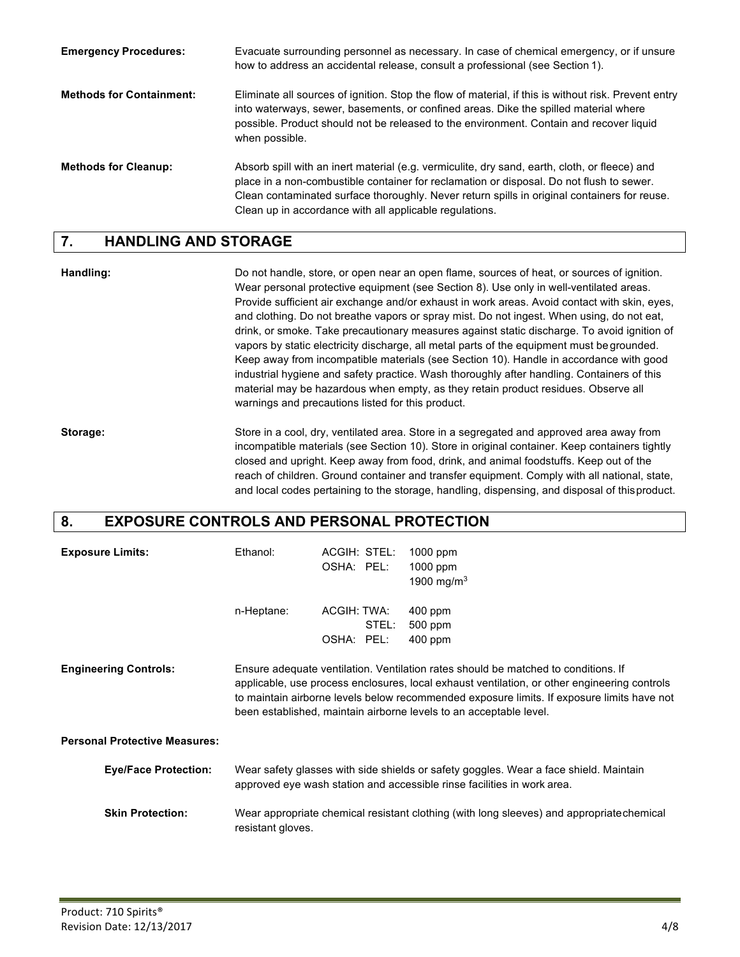| <b>Emergency Procedures:</b>    | Evacuate surrounding personnel as necessary. In case of chemical emergency, or if unsure<br>how to address an accidental release, consult a professional (see Section 1).                                                                                                                                                                            |
|---------------------------------|------------------------------------------------------------------------------------------------------------------------------------------------------------------------------------------------------------------------------------------------------------------------------------------------------------------------------------------------------|
| <b>Methods for Containment:</b> | Eliminate all sources of ignition. Stop the flow of material, if this is without risk. Prevent entry<br>into waterways, sewer, basements, or confined areas. Dike the spilled material where<br>possible. Product should not be released to the environment. Contain and recover liquid<br>when possible.                                            |
| <b>Methods for Cleanup:</b>     | Absorb spill with an inert material (e.g. vermiculite, dry sand, earth, cloth, or fleece) and<br>place in a non-combustible container for reclamation or disposal. Do not flush to sewer.<br>Clean contaminated surface thoroughly. Never return spills in original containers for reuse.<br>Clean up in accordance with all applicable regulations. |

#### **7. HANDLING AND STORAGE**

**Handling:** Do not handle, store, or open near an open flame, sources of heat, or sources of ignition. Wear personal protective equipment (see Section 8). Use only in well-ventilated areas. Provide sufficient air exchange and/or exhaust in work areas. Avoid contact with skin, eyes, and clothing. Do not breathe vapors or spray mist. Do not ingest. When using, do not eat, drink, or smoke. Take precautionary measures against static discharge. To avoid ignition of vapors by static electricity discharge, all metal parts of the equipment must begrounded. Keep away from incompatible materials (see Section 10). Handle in accordance with good industrial hygiene and safety practice. Wash thoroughly after handling. Containers of this material may be hazardous when empty, as they retain product residues. Observe all warnings and precautions listed for this product.

**Storage:** Store in a cool, dry, ventilated area. Store in a segregated and approved area away from incompatible materials (see Section 10). Store in original container. Keep containers tightly closed and upright. Keep away from food, drink, and animal foodstuffs. Keep out of the reach of children. Ground container and transfer equipment. Comply with all national, state, and local codes pertaining to the storage, handling, dispensing, and disposal of thisproduct.

#### **8. EXPOSURE CONTROLS AND PERSONAL PROTECTION**

| <b>Exposure Limits:</b>              | Ethanol:          | ACGIH: STEL:<br>OSHA: PEL:         | $1000$ ppm<br>$1000$ ppm<br>1900 mg/m <sup>3</sup>                                                                                                                                                                                                                                                                                                     |
|--------------------------------------|-------------------|------------------------------------|--------------------------------------------------------------------------------------------------------------------------------------------------------------------------------------------------------------------------------------------------------------------------------------------------------------------------------------------------------|
|                                      | n-Heptane:        | ACGIH: TWA:<br>STEL:<br>OSHA: PEL: | $400$ ppm<br>500 ppm<br>$400$ ppm                                                                                                                                                                                                                                                                                                                      |
| <b>Engineering Controls:</b>         |                   |                                    | Ensure adequate ventilation. Ventilation rates should be matched to conditions. If<br>applicable, use process enclosures, local exhaust ventilation, or other engineering controls<br>to maintain airborne levels below recommended exposure limits. If exposure limits have not<br>been established, maintain airborne levels to an acceptable level. |
| <b>Personal Protective Measures:</b> |                   |                                    |                                                                                                                                                                                                                                                                                                                                                        |
| <b>Eye/Face Protection:</b>          |                   |                                    | Wear safety glasses with side shields or safety goggles. Wear a face shield. Maintain<br>approved eye wash station and accessible rinse facilities in work area.                                                                                                                                                                                       |
| <b>Skin Protection:</b>              | resistant gloves. |                                    | Wear appropriate chemical resistant clothing (with long sleeves) and appropriate chemical                                                                                                                                                                                                                                                              |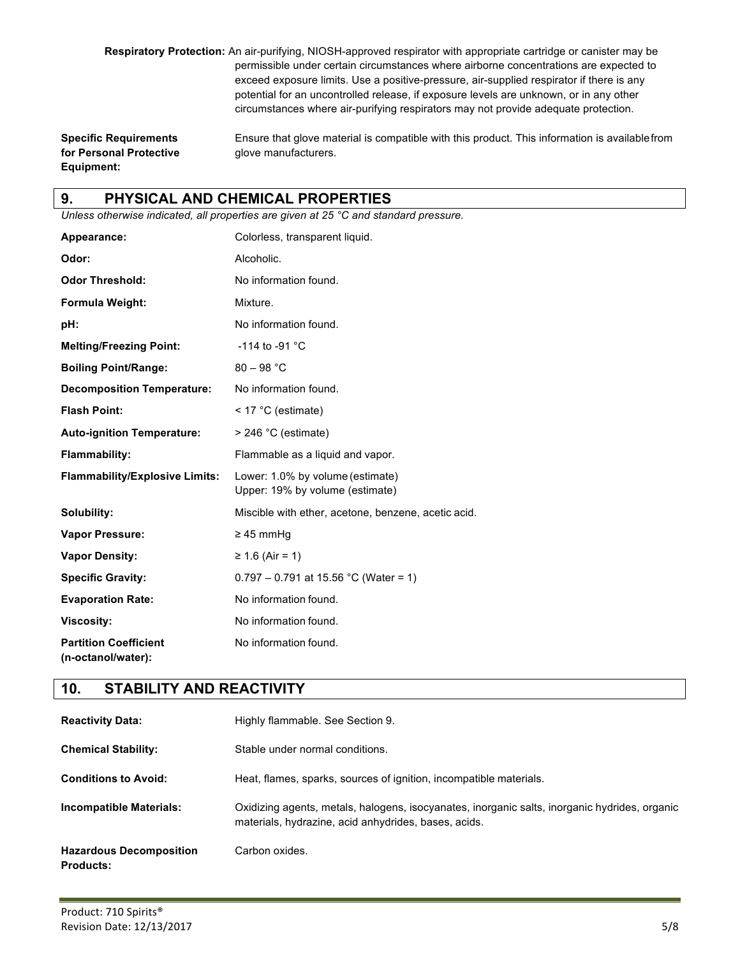**Respiratory Protection:** An air-purifying, NIOSH-approved respirator with appropriate cartridge or canister may be permissible under certain circumstances where airborne concentrations are expected to exceed exposure limits. Use a positive-pressure, air-supplied respirator if there is any potential for an uncontrolled release, if exposure levels are unknown, or in any other circumstances where air-purifying respirators may not provide adequate protection.

**for Personal Protective** glove manufacturers. **Equipment:**

**Specific Requirements** Ensure that glove material is compatible with this product. This information is availablefrom

#### **9. PHYSICAL AND CHEMICAL PROPERTIES**

*Unless otherwise indicated, all properties are given at 25 °C and standard pressure.*

| Appearance:                                        | Colorless, transparent liquid.                                      |
|----------------------------------------------------|---------------------------------------------------------------------|
| Odor:                                              | Alcoholic.                                                          |
| <b>Odor Threshold:</b>                             | No information found.                                               |
| Formula Weight:                                    | Mixture.                                                            |
| pH:                                                | No information found.                                               |
| <b>Melting/Freezing Point:</b>                     | $-114$ to $-91$ °C                                                  |
| <b>Boiling Point/Range:</b>                        | $80 - 98 °C$                                                        |
| <b>Decomposition Temperature:</b>                  | No information found.                                               |
| <b>Flash Point:</b>                                | $<$ 17 °C (estimate)                                                |
| <b>Auto-ignition Temperature:</b>                  | $>$ 246 °C (estimate)                                               |
| <b>Flammability:</b>                               | Flammable as a liquid and vapor.                                    |
| <b>Flammability/Explosive Limits:</b>              | Lower: 1.0% by volume (estimate)<br>Upper: 19% by volume (estimate) |
| Solubility:                                        | Miscible with ether, acetone, benzene, acetic acid.                 |
| <b>Vapor Pressure:</b>                             | $\geq$ 45 mmHq                                                      |
| <b>Vapor Density:</b>                              | ≥ 1.6 (Air = 1)                                                     |
| <b>Specific Gravity:</b>                           | $0.797 - 0.791$ at 15.56 °C (Water = 1)                             |
| <b>Evaporation Rate:</b>                           | No information found.                                               |
| <b>Viscosity:</b>                                  | No information found.                                               |
| <b>Partition Coefficient</b><br>(n-octanol/water): | No information found.                                               |

#### **10. STABILITY AND REACTIVITY**

| <b>Reactivity Data:</b>                            | Highly flammable. See Section 9.                                                                                                                      |
|----------------------------------------------------|-------------------------------------------------------------------------------------------------------------------------------------------------------|
| <b>Chemical Stability:</b>                         | Stable under normal conditions.                                                                                                                       |
| <b>Conditions to Avoid:</b>                        | Heat, flames, sparks, sources of ignition, incompatible materials.                                                                                    |
| Incompatible Materials:                            | Oxidizing agents, metals, halogens, isocyanates, inorganic salts, inorganic hydrides, organic<br>materials, hydrazine, acid anhydrides, bases, acids. |
| <b>Hazardous Decomposition</b><br><b>Products:</b> | Carbon oxides.                                                                                                                                        |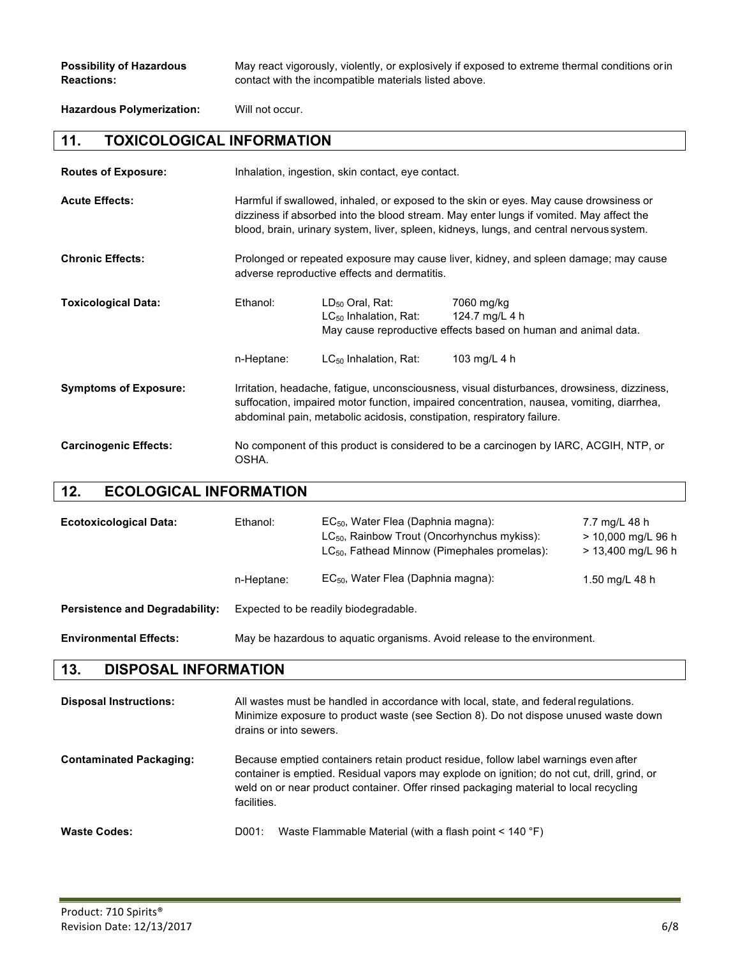**Possibility of Hazardous** May react vigorously, violently, or explosively if exposed to extreme thermal conditions orin **Reactions:** contact with the incompatible materials listed above.

**Hazardous Polymerization:** Will not occur.

#### **11. TOXICOLOGICAL INFORMATION**

| <b>Routes of Exposure:</b>   | Inhalation, ingestion, skin contact, eye contact.                                                                                                                                                                                                                             |                                                           |                                                                                                |
|------------------------------|-------------------------------------------------------------------------------------------------------------------------------------------------------------------------------------------------------------------------------------------------------------------------------|-----------------------------------------------------------|------------------------------------------------------------------------------------------------|
| <b>Acute Effects:</b>        | Harmful if swallowed, inhaled, or exposed to the skin or eyes. May cause drowsiness or<br>dizziness if absorbed into the blood stream. May enter lungs if vomited. May affect the<br>blood, brain, urinary system, liver, spleen, kidneys, lungs, and central nervous system. |                                                           |                                                                                                |
| <b>Chronic Effects:</b>      | Prolonged or repeated exposure may cause liver, kidney, and spleen damage; may cause<br>adverse reproductive effects and dermatitis.                                                                                                                                          |                                                           |                                                                                                |
| <b>Toxicological Data:</b>   | Ethanol:                                                                                                                                                                                                                                                                      | $LD_{50}$ Oral, Rat:<br>LC <sub>50</sub> Inhalation, Rat: | 7060 mg/kg<br>124.7 mg/L 4 h<br>May cause reproductive effects based on human and animal data. |
|                              | n-Heptane:                                                                                                                                                                                                                                                                    | $LC_{50}$ Inhalation, Rat:                                | 103 mg/L 4 h                                                                                   |
| <b>Symptoms of Exposure:</b> | Irritation, headache, fatigue, unconsciousness, visual disturbances, drowsiness, dizziness,<br>suffocation, impaired motor function, impaired concentration, nausea, vomiting, diarrhea,<br>abdominal pain, metabolic acidosis, constipation, respiratory failure.            |                                                           |                                                                                                |
| <b>Carcinogenic Effects:</b> | No component of this product is considered to be a carcinogen by IARC, ACGIH, NTP, or<br>OSHA.                                                                                                                                                                                |                                                           |                                                                                                |

#### **12. ECOLOGICAL INFORMATION**

| <b>Ecotoxicological Data:</b>         | Ethanol:                                                                 | EC <sub>50</sub> , Water Flea (Daphnia magna):<br>$LC_{50}$ , Rainbow Trout (Oncorhynchus mykiss):<br>$LC_{50}$ , Fathead Minnow (Pimephales promelas): | 7.7 mg/L 48 h<br>> 10,000 mg/L 96 h<br>> 13,400 mg/L 96 h |
|---------------------------------------|--------------------------------------------------------------------------|---------------------------------------------------------------------------------------------------------------------------------------------------------|-----------------------------------------------------------|
|                                       | n-Heptane:                                                               | $EC_{50}$ , Water Flea (Daphnia magna):                                                                                                                 | 1.50 mg/L 48 h                                            |
| <b>Persistence and Degradability:</b> | Expected to be readily biodegradable.                                    |                                                                                                                                                         |                                                           |
| <b>Environmental Effects:</b>         | May be hazardous to aquatic organisms. Avoid release to the environment. |                                                                                                                                                         |                                                           |

#### **13. DISPOSAL INFORMATION**

| <b>Disposal Instructions:</b>  | All wastes must be handled in accordance with local, state, and federal requiations.<br>Minimize exposure to product waste (see Section 8). Do not dispose unused waste down<br>drains or into sewers.                                                                                     |
|--------------------------------|--------------------------------------------------------------------------------------------------------------------------------------------------------------------------------------------------------------------------------------------------------------------------------------------|
| <b>Contaminated Packaging:</b> | Because emptied containers retain product residue, follow label warnings even after<br>container is emptied. Residual vapors may explode on ignition; do not cut, drill, grind, or<br>weld on or near product container. Offer rinsed packaging material to local recycling<br>facilities. |
| <b>Waste Codes:</b>            | Waste Flammable Material (with a flash point $\leq 140$ °F)<br>D001:                                                                                                                                                                                                                       |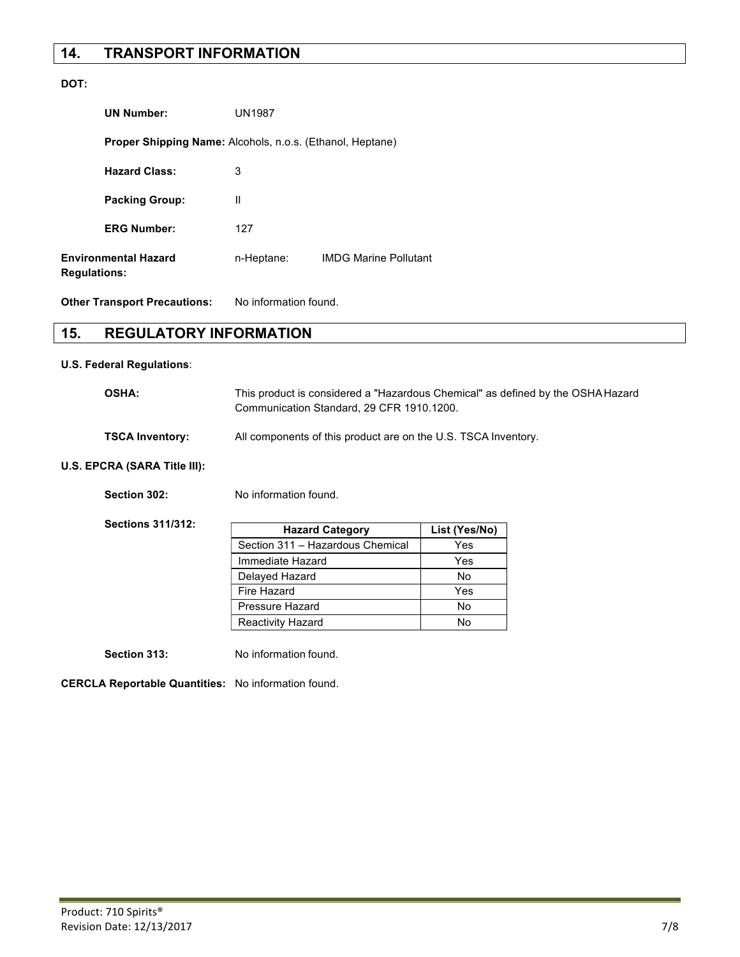#### **14. TRANSPORT INFORMATION**

#### **DOT:**

| <b>UN Number:</b>                                                | <b>UN1987</b> |                              |
|------------------------------------------------------------------|---------------|------------------------------|
| <b>Proper Shipping Name:</b> Alcohols, n.o.s. (Ethanol, Heptane) |               |                              |
| <b>Hazard Class:</b>                                             | 3             |                              |
| <b>Packing Group:</b>                                            | Ш             |                              |
| <b>ERG Number:</b>                                               | 127           |                              |
| <b>Environmental Hazard</b><br><b>Regulations:</b>               | n-Heptane:    | <b>IMDG Marine Pollutant</b> |

**Other Transport Precautions:** No information found.

#### **15. REGULATORY INFORMATION**

#### **U.S. Federal Regulations**:

| <b>OSHA:</b>    | This product is considered a "Hazardous Chemical" as defined by the OSHA Hazard<br>Communication Standard, 29 CFR 1910.1200. |
|-----------------|------------------------------------------------------------------------------------------------------------------------------|
| TSCA Inventory: | All components of this product are on the U.S. TSCA Inventory.                                                               |

#### **U.S. EPCRA (SARA Title III):**

| Section 302: | No information found. |
|--------------|-----------------------|
|              |                       |

**Sections 311/312:**

| <b>Hazard Category</b>           | List (Yes/No) |
|----------------------------------|---------------|
| Section 311 - Hazardous Chemical | Yes           |
| Immediate Hazard                 | Yes           |
| Delayed Hazard                   | No            |
| Fire Hazard                      | Yes           |
| Pressure Hazard                  | No            |
| Reactivity Hazard                | N٥            |

**Section 313:** No information found.

**CERCLA Reportable Quantities:** No information found.